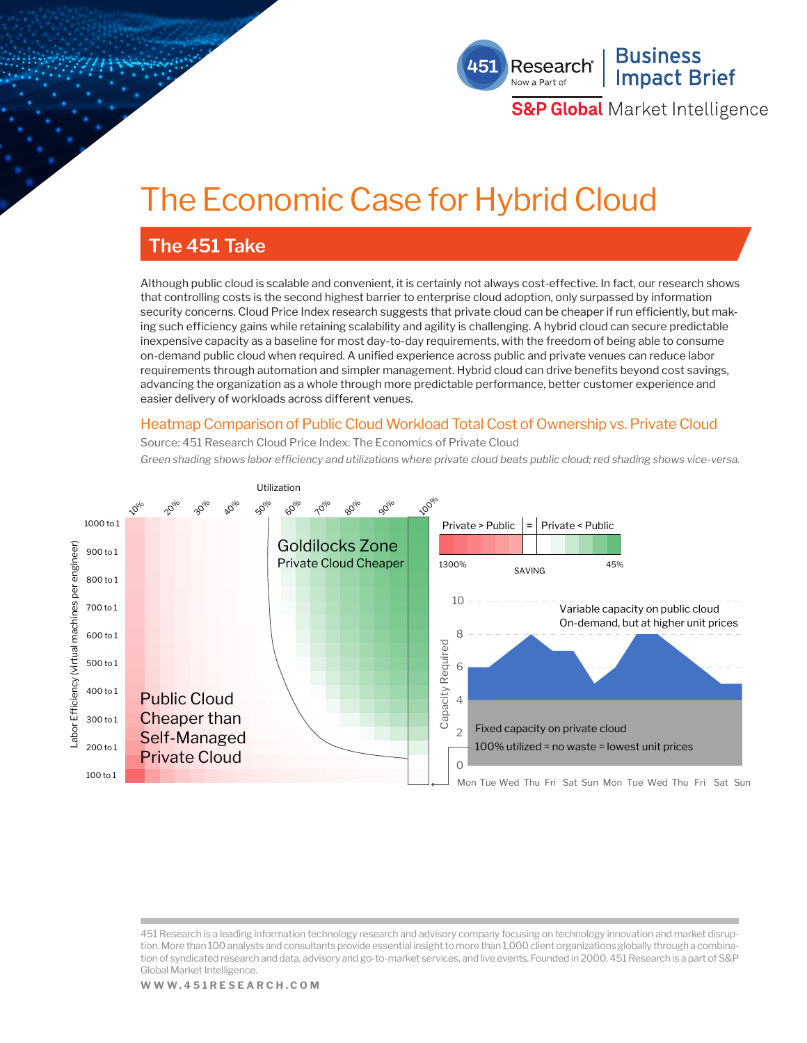

**S&P Global** Market Intelligence

# The Economic Case for Hybrid Cloud

### **The 451 Take**

Although public cloud is scalable and convenient, it is certainly not always cost-effective. In fact, our research shows that controlling costs is the second highest barrier to enterprise cloud adoption, only surpassed by information security concerns. Cloud Price Index research suggests that private cloud can be cheaper if run efficiently, but making such efficiency gains while retaining scalability and agility is challenging. A hybrid cloud can secure predictable inexpensive capacity as a baseline for most day-to-day requirements, with the freedom of being able to consume on-demand public cloud when required. A unified experience across public and private venues can reduce labor requirements through automation and simpler management. Hybrid cloud can drive benefits beyond cost savings, advancing the organization as a whole through more predictable performance, better customer experience and easier delivery of workloads across different venues.

### Heatmap Comparison of Public Cloud Workload Total Cost of Ownership vs. Private Cloud

Source: 451 Research Cloud Price Index: The Economics of Private Cloud

*Green shading shows labor efficiency and utilizations where private cloud beats public cloud; red shading shows vice-versa.*



<sup>451</sup> Research is a leading information technology research and advisory company focusing on technology innovation and market disruption. More than 100 analysts and consultants provide essential insight to more than 1,000 client organizations globally through a combination of syndicated research and data, advisory and go-to-market services, and live events. Founded in 2000, 451 Research is a part of S&P Global Market Intelligence.